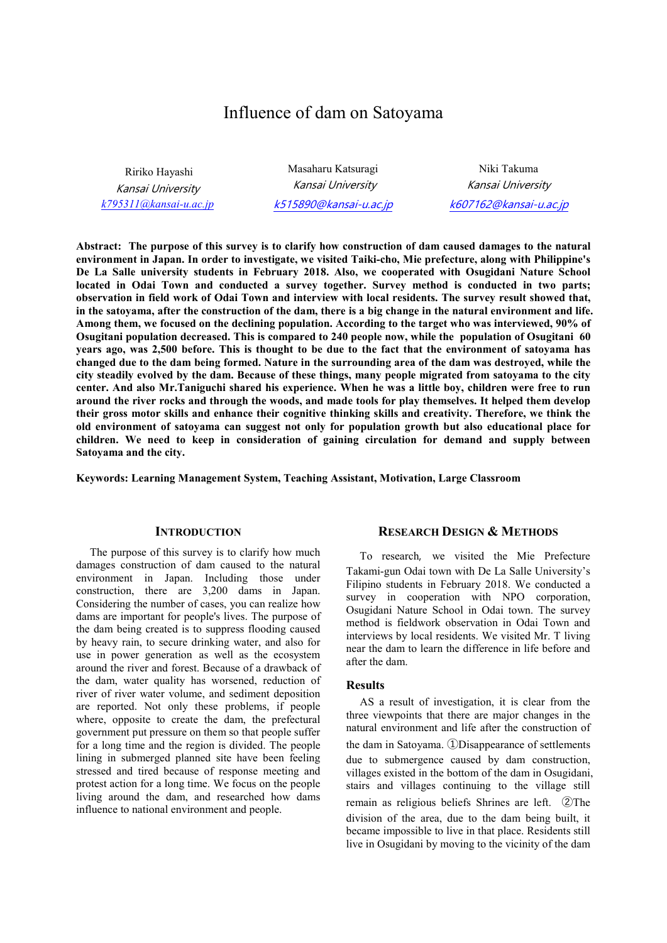# Influence of dam on Satoyama

 Ririko Hayashi Kansai University *k795311@kansai-u.ac.jp*

Masaharu Katsuragi Kansai University k515890@kansai-u.ac.jp

Niki Takuma Kansai University k607162@kansai-u.ac.jp

**Abstract: The purpose of this survey is to clarify how construction of dam caused damages to the natural environment in Japan. In order to investigate, we visited Taiki-cho, Mie prefecture, along with Philippine's De La Salle university students in February 2018. Also, we cooperated with Osugidani Nature School located in Odai Town and conducted a survey together. Survey method is conducted in two parts; observation in field work of Odai Town and interview with local residents. The survey result showed that, in the satoyama, after the construction of the dam, there is a big change in the natural environment and life. Among them, we focused on the declining population. According to the target who was interviewed, 90% of Osugitani population decreased. This is compared to 240 people now, while the population of Osugitani 60 years ago, was 2,500 before. This is thought to be due to the fact that the environment of satoyama has changed due to the dam being formed. Nature in the surrounding area of the dam was destroyed, while the city steadily evolved by the dam. Because of these things, many people migrated from satoyama to the city center. And also Mr.Taniguchi shared his experience. When he was a little boy, children were free to run around the river rocks and through the woods, and made tools for play themselves. It helped them develop their gross motor skills and enhance their cognitive thinking skills and creativity. Therefore, we think the old environment of satoyama can suggest not only for population growth but also educational place for children. We need to keep in consideration of gaining circulation for demand and supply between Satoyama and the city.** 

**Keywords: Learning Management System, Teaching Assistant, Motivation, Large Classroom** 

#### **INTRODUCTION**

The purpose of this survey is to clarify how much damages construction of dam caused to the natural environment in Japan. Including those under construction, there are 3,200 dams in Japan. Considering the number of cases, you can realize how dams are important for people's lives. The purpose of the dam being created is to suppress flooding caused by heavy rain, to secure drinking water, and also for use in power generation as well as the ecosystem around the river and forest. Because of a drawback of the dam, water quality has worsened, reduction of river of river water volume, and sediment deposition are reported. Not only these problems, if people where, opposite to create the dam, the prefectural government put pressure on them so that people suffer for a long time and the region is divided. The people lining in submerged planned site have been feeling stressed and tired because of response meeting and protest action for a long time. We focus on the people living around the dam, and researched how dams influence to national environment and people.

#### **RESEARCH DESIGN & METHODS**

To research, we visited the Mie Prefecture Takami-gun Odai town with De La Salle University's Filipino students in February 2018. We conducted a survey in cooperation with NPO corporation, Osugidani Nature School in Odai town. The survey method is fieldwork observation in Odai Town and interviews by local residents. We visited Mr. T living near the dam to learn the difference in life before and after the dam.

#### **Results**

AS a result of investigation, it is clear from the three viewpoints that there are major changes in the natural environment and life after the construction of the dam in Satoyama. ①Disappearance of settlements due to submergence caused by dam construction, villages existed in the bottom of the dam in Osugidani, stairs and villages continuing to the village still remain as religious beliefs Shrines are left. ②The division of the area, due to the dam being built, it became impossible to live in that place. Residents still live in Osugidani by moving to the vicinity of the dam